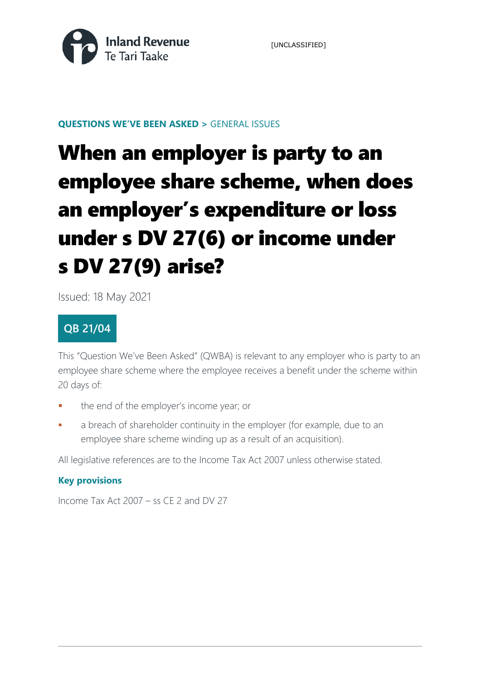

[UNCLASSIFIED]

### **QUESTIONS WE'VE BEEN ASKED >** GENERAL ISSUES

# When an employer is party to an employee share scheme, when does an employer's expenditure or loss under s DV 27(6) or income under s DV 27(9) arise?

Issued: 18 May 2021

### **QB 21/04**

This "Question We've Been Asked" (QWBA) is relevant to any employer who is party to an employee share scheme where the employee receives a benefit under the scheme within 20 days of:

- the end of the employer's income year; or
- a breach of shareholder continuity in the employer (for example, due to an employee share scheme winding up as a result of an acquisition).

All legislative references are to the Income Tax Act 2007 unless otherwise stated.

### **Key provisions**

Income Tax Act 2007 – ss CE 2 and DV 27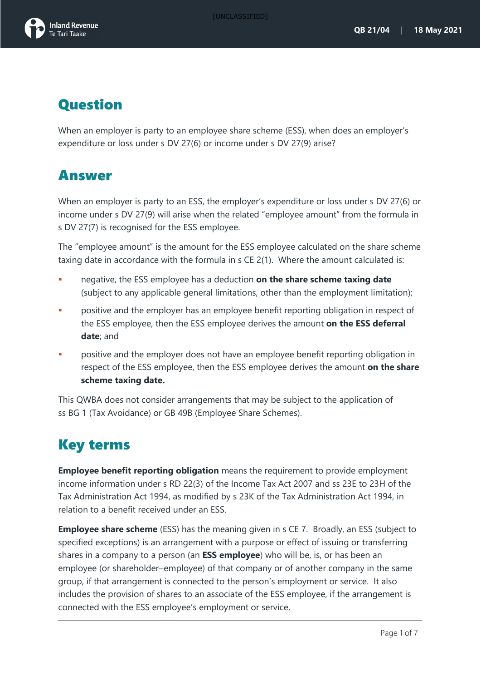

## Question

When an employer is party to an employee share scheme (ESS), when does an employer's expenditure or loss under s DV 27(6) or income under s DV 27(9) arise?

### Answer

When an employer is party to an ESS, the employer's expenditure or loss under s DV 27(6) or income under s DV 27(9) will arise when the related "employee amount" from the formula in s DV 27(7) is recognised for the ESS employee.

The "employee amount" is the amount for the ESS employee calculated on the share scheme taxing date in accordance with the formula in s CE 2(1). Where the amount calculated is:

- negative, the ESS employee has a deduction **on the share scheme taxing date** (subject to any applicable general limitations, other than the employment limitation);
- **PEDE EXECT** positive and the employer has an employee benefit reporting obligation in respect of the ESS employee, then the ESS employee derives the amount **on the ESS deferral date**; and
- positive and the employer does not have an employee benefit reporting obligation in respect of the ESS employee, then the ESS employee derives the amount **on the share scheme taxing date.**

This QWBA does not consider arrangements that may be subject to the application of ss BG 1 (Tax Avoidance) or GB 49B (Employee Share Schemes).

# Key terms

**Employee benefit reporting obligation** means the requirement to provide employment income information under s RD 22(3) of the Income Tax Act 2007 and ss 23E to 23H of the Tax Administration Act 1994, as modified by s 23K of the Tax Administration Act 1994, in relation to a benefit received under an ESS.

**Employee share scheme** (ESS) has the meaning given in s CE 7. Broadly, an ESS (subject to specified exceptions) is an arrangement with a purpose or effect of issuing or transferring shares in a company to a person (an **ESS employee**) who will be, is, or has been an employee (or shareholder−employee) of that company or of another company in the same group, if that arrangement is connected to the person's employment or service. It also includes the provision of shares to an associate of the ESS employee, if the arrangement is connected with the ESS employee's employment or service.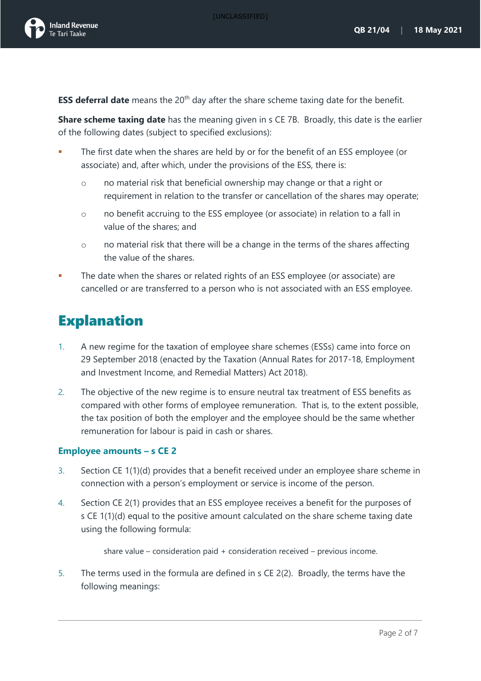

**ESS deferral date** means the 20<sup>th</sup> day after the share scheme taxing date for the benefit.

**Share scheme taxing date** has the meaning given in s CE 7B. Broadly, this date is the earlier of the following dates (subject to specified exclusions):

- The first date when the shares are held by or for the benefit of an ESS employee (or associate) and, after which, under the provisions of the ESS, there is:
	- o no material risk that beneficial ownership may change or that a right or requirement in relation to the transfer or cancellation of the shares may operate;
	- o no benefit accruing to the ESS employee (or associate) in relation to a fall in value of the shares; and
	- $\circ$  no material risk that there will be a change in the terms of the shares affecting the value of the shares.
- The date when the shares or related rights of an ESS employee (or associate) are cancelled or are transferred to a person who is not associated with an ESS employee.

# **Explanation**

- 1. A new regime for the taxation of employee share schemes (ESSs) came into force on 29 September 2018 (enacted by the Taxation (Annual Rates for 2017-18, Employment and Investment Income, and Remedial Matters) Act 2018).
- 2. The objective of the new regime is to ensure neutral tax treatment of ESS benefits as compared with other forms of employee remuneration. That is, to the extent possible, the tax position of both the employer and the employee should be the same whether remuneration for labour is paid in cash or shares.

#### **Employee amounts – s CE 2**

- 3. Section CE 1(1)(d) provides that a benefit received under an employee share scheme in connection with a person's employment or service is income of the person.
- 4. Section CE 2(1) provides that an ESS employee receives a benefit for the purposes of s CE 1(1)(d) equal to the positive amount calculated on the share scheme taxing date using the following formula:

```
share value – consideration paid + consideration received – previous income.
```
<span id="page-2-0"></span>5. The terms used in the formula are defined in s CE 2(2). Broadly, the terms have the following meanings: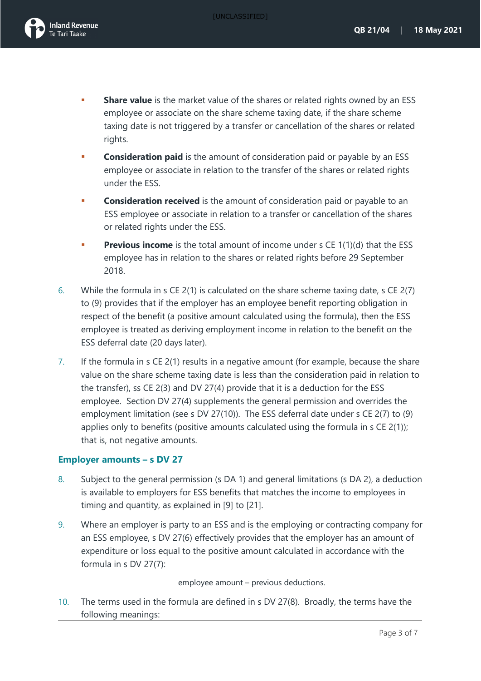

- **Share value** is the market value of the shares or related rights owned by an ESS employee or associate on the share scheme taxing date, if the share scheme taxing date is not triggered by a transfer or cancellation of the shares or related rights.
- **Consideration paid** is the amount of consideration paid or payable by an ESS employee or associate in relation to the transfer of the shares or related rights under the ESS.
- **Consideration received** is the amount of consideration paid or payable to an ESS employee or associate in relation to a transfer or cancellation of the shares or related rights under the ESS.
- **Previous income** is the total amount of income under [s CE 1\(1\)\(d\)](http://www.legislation.govt.nz/act/public/2007/0097/latest/link.aspx?search=sw_096be8ed819e6cd0_%22Ce+2%22_25_se&p=1&id=DLM1512779#DLM1512779) that the ESS employee has in relation to the shares or related rights before 29 September 2018.
- 6. While the formula in s CE 2(1) is calculated on the share scheme taxing date, s CE 2(7) to (9) provides that if the employer has an employee benefit reporting obligation in respect of the benefit (a positive amount calculated using the formula), then the ESS employee is treated as deriving employment income in relation to the benefit on the ESS deferral date (20 days later).
- <span id="page-3-1"></span>7. If the formula in s CE 2(1) results in a negative amount (for example, because the share value on the share scheme taxing date is less than the consideration paid in relation to the transfer), ss CE 2(3) and DV 27(4) provide that it is a deduction for the ESS employee. Section DV 27(4) supplements the general permission and overrides the employment limitation (see s DV 27(10)). The ESS deferral date under s CE 2(7) to (9) applies only to benefits (positive amounts calculated using the formula in s CE 2(1)); that is, not negative amounts.

#### **Employer amounts – s DV 27**

- 8. Subject to the general permission (s DA 1) and general limitations (s DA 2), a deduction is available to employers for ESS benefits that matches the income to employees in timing and quantity, as explained in [\[9\]](#page-3-0) to [\[21\]](#page-6-0).
- <span id="page-3-0"></span>9. Where an employer is party to an ESS and is the employing or contracting company for an ESS employee, s DV 27(6) effectively provides that the employer has an amount of expenditure or loss equal to the positive amount calculated in accordance with the formula in s DV 27(7):

employee amount – previous deductions.

10. The terms used in the formula are defined in s DV 27(8). Broadly, the terms have the following meanings: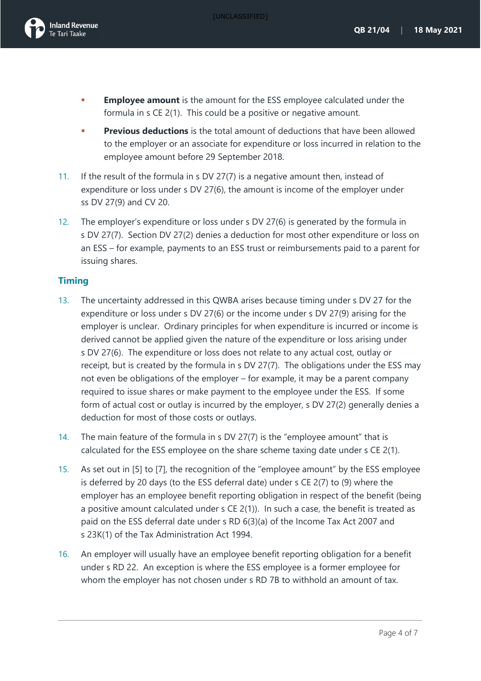[UNCLASSIFIED]



- **Employee amount** is the amount for the ESS employee calculated under the formula in [s CE 2\(1\).](http://www.legislation.govt.nz/act/public/2007/0097/latest/link.aspx?search=sw_096be8ed819e6cd0_%22dv+27%22_25_se&p=1&id=DLM1512781#DLM1512781) This could be a positive or negative amount.
- **Previous deductions** is the total amount of deductions that have been allowed to the employer or an associate for expenditure or loss incurred in relation to the employee amount before 29 September 2018.
- 11. If the result of the formula in s DV 27(7) is a negative amount then, instead of expenditure or loss under s DV 27(6), the amount is income of the employer under ss DV 27(9) and CV 20.
- 12. The employer's expenditure or loss under s DV 27(6) is generated by the formula in s DV 27(7). Section DV 27(2) denies a deduction for most other expenditure or loss on an ESS – for example, payments to an ESS trust or reimbursements paid to a parent for issuing shares.

#### **Timing**

- 13. The uncertainty addressed in this QWBA arises because timing under s DV 27 for the expenditure or loss under s DV 27(6) or the income under s DV 27(9) arising for the employer is unclear. Ordinary principles for when expenditure is incurred or income is derived cannot be applied given the nature of the expenditure or loss arising under s DV 27(6). The expenditure or loss does not relate to any actual cost, outlay or receipt, but is created by the formula in s DV 27(7). The obligations under the ESS may not even be obligations of the employer – for example, it may be a parent company required to issue shares or make payment to the employee under the ESS. If some form of actual cost or outlay is incurred by the employer, s DV 27(2) generally denies a deduction for most of those costs or outlays.
- 14. The main feature of the formula in s DV 27(7) is the "employee amount" that is calculated for the ESS employee on the share scheme taxing date under s CE 2(1).
- 15. As set out in [\[5\]](#page-2-0) to [\[7\]](#page-3-1), the recognition of the "employee amount" by the ESS employee is deferred by 20 days (to the ESS deferral date) under s CE 2(7) to (9) where the employer has an employee benefit reporting obligation in respect of the benefit (being a positive amount calculated under s CE 2(1)). In such a case, the benefit is treated as paid on the ESS deferral date under s RD 6(3)(a) of the Income Tax Act 2007 and s 23K(1) of the Tax Administration Act 1994.
- 16. An employer will usually have an employee benefit reporting obligation for a benefit under s RD 22. An exception is where the ESS employee is a former employee for whom the employer has not chosen under s RD 7B to withhold an amount of tax.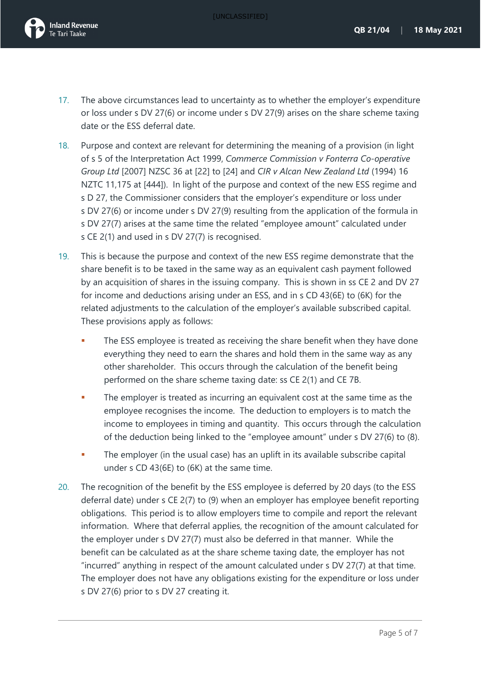[UNCLASSIFIED]



- 17. The above circumstances lead to uncertainty as to whether the employer's expenditure or loss under s DV 27(6) or income under s DV 27(9) arises on the share scheme taxing date or the ESS deferral date.
- 18. Purpose and context are relevant for determining the meaning of a provision (in light of s 5 of the Interpretation Act 1999, *Commerce Commission v Fonterra Co-operative Group Ltd* [2007] NZSC 36 at [22] to [24] and *CIR v Alcan New Zealand Ltd* (1994) 16 NZTC 11,175 at [444]). In light of the purpose and context of the new ESS regime and s D 27, the Commissioner considers that the employer's expenditure or loss under s DV 27(6) or income under s DV 27(9) resulting from the application of the formula in s DV 27(7) arises at the same time the related "employee amount" calculated under s CE 2(1) and used in s DV 27(7) is recognised.
- 19. This is because the purpose and context of the new ESS regime demonstrate that the share benefit is to be taxed in the same way as an equivalent cash payment followed by an acquisition of shares in the issuing company. This is shown in ss CE 2 and DV 27 for income and deductions arising under an ESS, and in s CD 43(6E) to (6K) for the related adjustments to the calculation of the employer's available subscribed capital. These provisions apply as follows:
	- The ESS employee is treated as receiving the share benefit when they have done everything they need to earn the shares and hold them in the same way as any other shareholder. This occurs through the calculation of the benefit being performed on the share scheme taxing date: ss CE 2(1) and CE 7B.
	- The employer is treated as incurring an equivalent cost at the same time as the employee recognises the income. The deduction to employers is to match the income to employees in timing and quantity. This occurs through the calculation of the deduction being linked to the "employee amount" under s DV 27(6) to (8).
	- The employer (in the usual case) has an uplift in its available subscribe capital under s CD 43(6E) to (6K) at the same time.
- 20. The recognition of the benefit by the ESS employee is deferred by 20 days (to the ESS deferral date) under s CE 2(7) to (9) when an employer has employee benefit reporting obligations. This period is to allow employers time to compile and report the relevant information. Where that deferral applies, the recognition of the amount calculated for the employer under s DV 27(7) must also be deferred in that manner. While the benefit can be calculated as at the share scheme taxing date, the employer has not "incurred" anything in respect of the amount calculated under s DV 27(7) at that time. The employer does not have any obligations existing for the expenditure or loss under s DV 27(6) prior to s DV 27 creating it.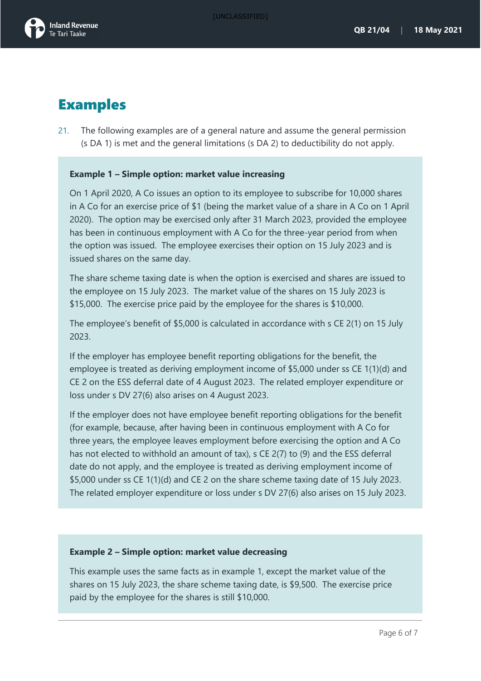### Examples

<span id="page-6-0"></span>21. The following examples are of a general nature and assume the general permission (s DA 1) is met and the general limitations (s DA 2) to deductibility do not apply.

#### **Example 1 – Simple option: market value increasing**

On 1 April 2020, A Co issues an option to its employee to subscribe for 10,000 shares in A Co for an exercise price of \$1 (being the market value of a share in A Co on 1 April 2020). The option may be exercised only after 31 March 2023, provided the employee has been in continuous employment with A Co for the three-year period from when the option was issued. The employee exercises their option on 15 July 2023 and is issued shares on the same day.

The share scheme taxing date is when the option is exercised and shares are issued to the employee on 15 July 2023. The market value of the shares on 15 July 2023 is \$15,000. The exercise price paid by the employee for the shares is \$10,000.

The employee's benefit of \$5,000 is calculated in accordance with s CE 2(1) on 15 July 2023.

If the employer has employee benefit reporting obligations for the benefit, the employee is treated as deriving employment income of \$5,000 under ss CE 1(1)(d) and CE 2 on the ESS deferral date of 4 August 2023. The related employer expenditure or loss under s DV 27(6) also arises on 4 August 2023.

If the employer does not have employee benefit reporting obligations for the benefit (for example, because, after having been in continuous employment with A Co for three years, the employee leaves employment before exercising the option and A Co has not elected to withhold an amount of tax), s CE 2(7) to (9) and the ESS deferral date do not apply, and the employee is treated as deriving employment income of \$5,000 under ss CE 1(1)(d) and CE 2 on the share scheme taxing date of 15 July 2023. The related employer expenditure or loss under s DV 27(6) also arises on 15 July 2023.

#### **Example 2 – Simple option: market value decreasing**

This example uses the same facts as in example 1, except the market value of the shares on 15 July 2023, the share scheme taxing date, is \$9,500. The exercise price paid by the employee for the shares is still \$10,000.